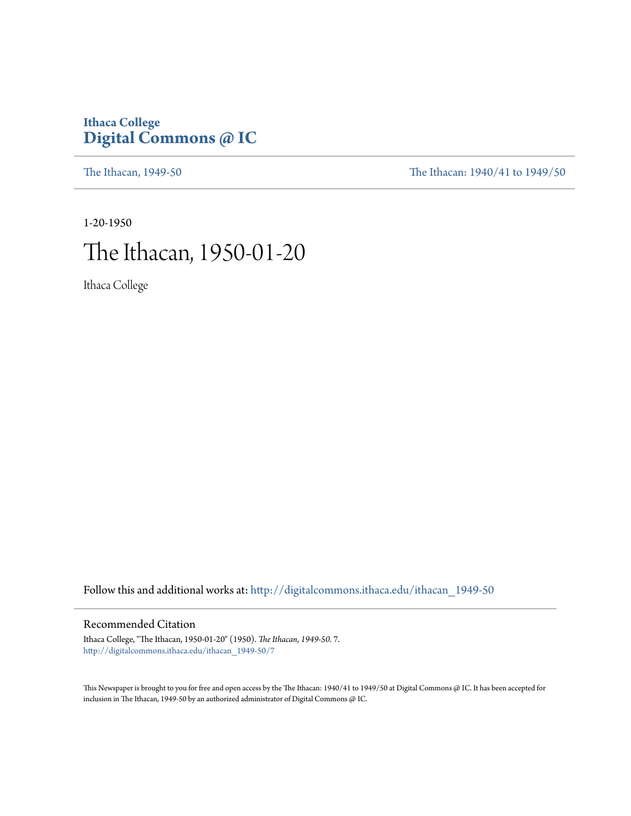## **Ithaca College [Digital Commons @ IC](http://digitalcommons.ithaca.edu?utm_source=digitalcommons.ithaca.edu%2Fithacan_1949-50%2F7&utm_medium=PDF&utm_campaign=PDFCoverPages)**

[The Ithacan, 1949-50](http://digitalcommons.ithaca.edu/ithacan_1949-50?utm_source=digitalcommons.ithaca.edu%2Fithacan_1949-50%2F7&utm_medium=PDF&utm_campaign=PDFCoverPages) [The Ithacan: 1940/41 to 1949/50](http://digitalcommons.ithaca.edu/ithacan_1940s?utm_source=digitalcommons.ithaca.edu%2Fithacan_1949-50%2F7&utm_medium=PDF&utm_campaign=PDFCoverPages)

1-20-1950 The Ithacan, 1950-01-20

Ithaca College

Follow this and additional works at: [http://digitalcommons.ithaca.edu/ithacan\\_1949-50](http://digitalcommons.ithaca.edu/ithacan_1949-50?utm_source=digitalcommons.ithaca.edu%2Fithacan_1949-50%2F7&utm_medium=PDF&utm_campaign=PDFCoverPages)

### Recommended Citation

Ithaca College, "The Ithacan, 1950-01-20" (1950). *The Ithacan, 1949-50*. 7. [http://digitalcommons.ithaca.edu/ithacan\\_1949-50/7](http://digitalcommons.ithaca.edu/ithacan_1949-50/7?utm_source=digitalcommons.ithaca.edu%2Fithacan_1949-50%2F7&utm_medium=PDF&utm_campaign=PDFCoverPages)

This Newspaper is brought to you for free and open access by the The Ithacan: 1940/41 to 1949/50 at Digital Commons @ IC. It has been accepted for inclusion in The Ithacan, 1949-50 by an authorized administrator of Digital Commons @ IC.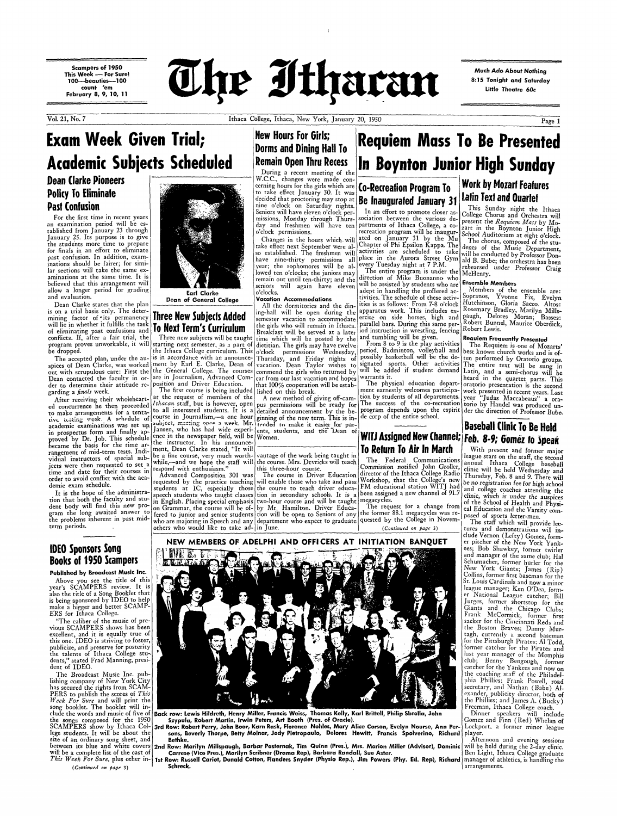**Scampers of 1950 This Week - For Sure! 1OO-beauties--100 count 'em February 8, 9, 10, 11** 



Vol. 21, No. 7 Ithaca College, Ithaca, New York, January 20, 1950

**Much Ado About Nothing 8: 15 Tonight and Saturday**  little **Theatre 60c** 

nine o'clock on Saturday nights.  $\begin{bmatrix} 1 \\ 1 \end{bmatrix}$  finite  $\begin{bmatrix} 1 \\ 1 \end{bmatrix}$   $\begin{bmatrix} 1 \\ 1 \end{bmatrix}$  This Sunday night the Ithaca Seniors will have eleven  $\sigma$  clock per-  $\vert$  and  $\rho$  and thort to promote closer as-  $\vert$  College Chorus and Orchestra will January 25. Its purpose is to give<br>the students more time to prepare<br>for finals in an effort to eliminate<br>for finals in an effort to eliminate past\_confusion. In addition, exam-<br>inations should be fairer; for simi-<br>inations should be fairer; for simi-<br>inations should be fairer; for simi-<br>inations should be fairer; for simi-<br>inations should be fairer; for simi-<br>in inations should be fairer; for simi-<br>Iar sections will take the same ex-<br>Iar sections will take the same ex-<br>Iar sections will take the same ex-<br>Integral owed ten o'clocks; the juniors may The entire program is under the

band evaluation.<br>
Dean of General College Vacation Accommodations<br>
Dean Clarke states that the plan<br>
Dean of General College All the dormitories and the din-<br>
ing-hall will be open during the apparatus work. This includes Dean of General College Vacation Accommodations<br>is on a trial basis only. The deter-<br>is on a trial basis only. The deter-<br>ing-hall will be open during the apparatus work. This includes ex- Rosemary Bradley, Marilyn Mills-

Thursday, and Friday nights of possibly basketball will be the de- ten performed by Oratorio groups.<br>Spices of Dean Clarke, was worked ment by Earl E. Clarke, Dean of vacation. Dean Taylor wishes to signated sports. Other Dean contacted the faculty in or- are in Journalism, Advanced Com- car from our last vacation and hopes warrants it. <br>The physical education depart- oratorio presentation is the second The physical education depart- oratorio presentation is the second<br>ment earnestly welcomes participa- work presented in recent years. Last garding a *finals* week. The first course is being included lished on this break. The first course is being included lished on this break. The first course is being included lished on this break. The first course is being

inidar Tenaca Coneg<br>inic will be held Wed

Page 1

## **New Hours For Girls; Dorms and Dining Hall To Remain Open Thru Recess**

During a recent meeting of the<br>W.C.C., changes were made con-

decided that proctoring may stop at **Be Inaugurated January 31 Latin Text and Quartet**<br>nine o'clock on Saturday nights. **Be Inaugurated January 31** This Sunday night the<br>Seniors will have eleven o'clock per-<br>In an effort t

of eliminating past confusions and **UNUAL IGHI 3 CUILICUIUII** | Breakfast will be served at a later iod instruction in wrestling, fencing Robert Lewis.

After receiving their wholeheart-  $\frac{at}{r}$  the request of members of the A new method of giving off-cam- tion by students of all departments. year "Judas Maccabeaus" a oraed concurrence he then proceeded *lthacan* staff, but is however, open pus permissions will be ready for The success of the co-recreation torio by Handel was produced unto make arrangements for a tenta- to all interested students. It is a detailed announcement by the be-program depends upon the espirit der the direction of Professor Bube.<br>tive testing week. A schedule of course in Journal  $\frac{1}{2}$  and  $\frac{1}{2}$  week. A schedule of course in Journalism,—a one hour ginning of the new term. This is in-<br>ive testing week. A schedule of course in Journalism,—a one hour ginning of the new term. This is in-<br>cadem in prospectus form and finally ap-<br>in prospectus form and finally ap-<br>in prospectus form and finally ap-<br>in rospectus form and finally ap-<br>in rospectus form and finally ap-<br>in rospectus form and finally ap-<br>in the newspape

# is on a trial basis only. The deter-<br>
mining factor of its permanency **Three New Subjects Added** semester vacation to accommodate ercise on side horses, high and paugh, Delores Moran; Basses:<br>
will lie in whether it fulfil will lie in whether it fulfills the task **To Next Term's Curriculum** the girls who will remain in Ithaca. parallel bars. During this same per- Robert Bunnel, Maurice Oberdick,

conflicts. If, after a fair trial, the Three new subjects will be taught time which will be posted by the and tumbling will be given. . . . **Requiem Frequently Presented** program proves unworkable, it will starting next semester, as a part of dietitian. The girls may have twelve  $\lceil$  From 8 to 9 is the play activities The Requiem is one of Mozarts' be dropped. the Ithaca College curriculum. This o'clock permissions Wednesday, period. Badminton, volleyball and best known church works and is of-The accepted plan, under the au- is in accordance with an announce- Thursday, and Friday nights of possibly basketball will be the de- ten performed by Oratorio groups. spices of Dean Clarke, was worked ment by Earl E. Clarke. Dean of vacation. Dean Taylor wishes to suggested sports. Other activities The entire text will be sung in

jects were then requested to set a wasper of the three-hour course.<br>The course in Driver Education director of the Ithaca College Radio Churchar Fake Deal Wednesday and the form the production of the Ithaca College Radio ( time and date for their courses in esponsive with changes and composition 301 was The course in Driver Education director of the Ithaca College Radio Fhursday, Feb. 8 and 9. There will<br>demic exam schedule.<br>demic exam sched

dent body will find this new pro- on Grammar, the course will be of- by Mr. Hamilton. Driver Educa- The request for a change from cal Education and the Varsity com-<br>gram the long awaited answer to fered to junior and senio gram the long awaited answer to fered to junior and senior students tion will be open to Seniors of any the former 88.1 megacycles was re- posed of sports letter-men.<br>The staff which will provide lec-<br>the problems inherent

# **Exam Week Given Trial; Academic Subiects Scheduled Dean Clarke Pioneers Policy To Eliminate**

**Requiem Mass To Be Presented** 

**In Boynton Junior High Sunday** 

## **Past Contusion**

Jar sections will take the same ex-<br>aminations at the same time. It is strategies and the lowed ten o'clocks; the juniors may The entire program is under the McHenry. believed that this arrangement will<br>allow a longer period for grading and the state of the contract of the seniors will again have eleven will be assisted by students who are **Ensemble Members**<br>allow a longer period for gr allow a longer period for grading **Earl Clarke Earl Clarke** o'clocks. The schedule of these active-<br>and evaluation. **Deep of General Cellere Vacation Accommodations** tivities. The schedule of these activ-

in prospectus form and finally ap-<br>proved by Dr. Job. This schedule ence in the newspaper field, will be Women.<br>became the basis for the time ar-<br>rangement of mid-term tests. Indi-<br>rangement of mid-term tests. Indi-<br>ment, became the basis for the time at-<br>rangement of mid-term tests. Indi-<br>vidual instructors of special sub-<br>jects were then requested to set a while,—and we hope the staff will the course. Mrs. Devricks will teach the Federal

**Published by Broadcast Music Inc.**  Above you see the title of this year's SCAMPERS review. It is also the title of a Song Booklet that is being sponsored by IDEO to help make a bigger and better SCAMP-ERS for Ithaca College. "The caliber of the music of previous SCAMPERS shows has been excellent, and it is equally true of this one. IDEO is striving to foster, publicize, and preserve for posterity the talents of Ithaca College students," stated Frad Manning, president of IDEO. The Broadcast Music Inc. publishing company of New York City has secured the rights from SCAM-PERS to publish the scores of *This Week For Sure* and will print the song booklet. The booklet will include the words and music of five of the songs composed for the 1950 lege students. It will be about the size of an ordinary song sheet, and will be a. complete list of the cast of *This Week For Sure*, plus other in-



denic exam schedule.<br>
It is the hope of the administra-<br>
tion that both the faculty and stu-<br>
in English. Placing special emphasis two-hour course and will be taught megacycles.<br>
The request for a change from of the School tion that both the faculty and stu- in English. Placing special emphasis two-hour course and will be taught megacycles.<br>dent body will find this new pro- on Grammar, the course will be of- by Mr. Hamilton. Driver Educa- T the problems inherent in past mid- who are majoring in Speech and any department who expect to graduate quested by the College in Novem-<br>term periods. (Centinued on heat 3)

NEW MEMBERS OF ADELPHI AND OFFICERS AT INITIATION BANQUET

# During a recent meeting of the **EXAMPLE CONSTRUCT SOMEON** LIFERTY ON LARGE W.C.C., changes were made concerning hours for the girls which are **Co-Recreation Program To Work by Mozart Features** to take effect January 30. It was **LO-RELIGATION PROGRAM 10**

For the first time in recent years will be es-<br>an examination period will be es-<br>day and freshmen will have ten partments of Ithaca College, a co- part in the Requiem Mass by Mo-<br>It is an examination period will be es-<br>
tablished from January 23 through the comment of the Boynton Junior High correction program will be inaugur- School Auditorium at sick of the tablished from January 23 through and the state of the state of the state of the state of the state of the movement of the movement of the state of the state of the movement of the state of the state of the state of the st

> Back row: Lewis Hildreth, Henry Miller, Francis Weiss, Thomas Kelly, Karl Brittell, Philip Sbrolla, John **S:zypula, Robert Martin, Irwin Peters, Art Booth (Pres. of Oracle).**

size of an ordinary song sheet, and | Bethke.<br>between its blue and white covers <mark>2nd Row: Marilyn Millspaugh, Barbar Pasternak, Tim Quinn (Pres.), Mrs. Marion Miller (Advisor), Dominic</mark> Carrese (Vice Pres.), Marilyn Scribner (Drama Rep), Barbara Randall, Sue Aster.

others who would like to take ad- in June. *(Continued on page 3)* tures and demonstrations will include Vernon (Lefty) Gomez former pitcher of the New York 'Yankees; Bob Shawkey, former twirler and manager of the same club; Hal Schumacher, former hurler for the New York Giants; James (Rip) Collins, former first baseman for the St. Louis Cardinals and now a minor eague manager; Ken O'Dea. er National League catcher; Bill Jurges, former shortstop for the Giants and the\_ Chicago Clubs; Frank McCormick, former first sacker for the Cincinnati Reds and the Boston Braves; Danny Murtagh, currently a second baseman for the Pittsburgh Pirates; Al Todd, former catcher for the Pirates and last year manager of the Memphis club; Benny Bengough, former catcher for the Yankees and now on the coaching staff of the Philadelphia Phillies; Frank Powell, road secretary, and Nathan (Babe) **Al**exander, publicity director, both **of**  the Phillies; and James A. (Bucky) Freeman, Ithaca College coach. Dinner speakers will include Gomez and Finn (Red) Whelan of Lockport, a former minor league player. Afternoon and evening sessions will be held during the 2-day clinic. Ben Light, Ithaca College graduate manager of athletics, is handling the arrangements.

## **IDEO Sponsors Song Books of 1950 Scampers**

( *Continued on page* 3)



SCAMPERS show by Ithaca Col-3rd Row: Robert Perry, John **Boor,** Karn Rask, Florence Nohles, Mary Alice Corson, Evelyn Nourse, Ann Persons, Beverly Thorpe, Betty Molnar, Jody Pietropaulo, Delores Hewitt, Francis Spolverino, Richard

> 1st Row: Russell Cariot, Donald Cotton, Flanders Snyder (Physio Rep.), Jim Powers (Phy. Ed. Rep), Richard Schreck.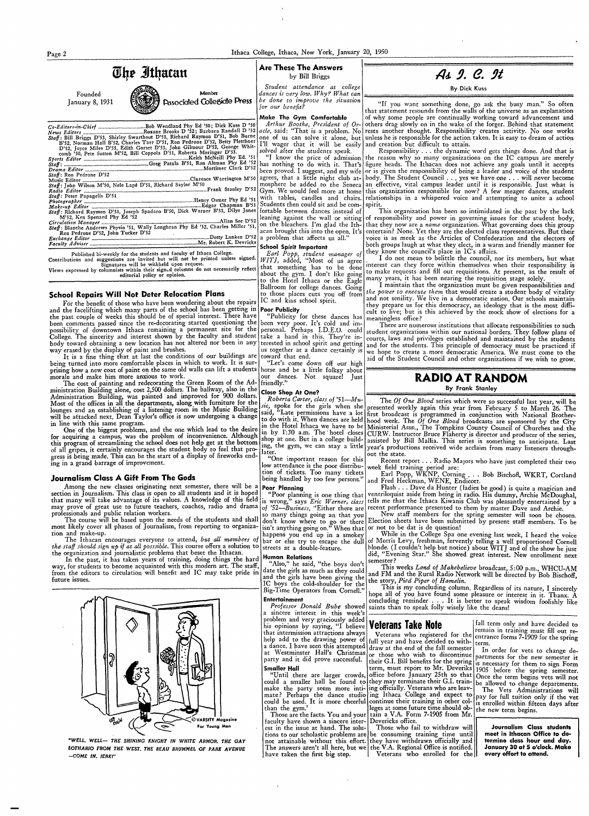Page 2

| The Ithacan                                                                                                                                                                                                                          | <b>Are These The Answers</b><br>by Bill Briggs                     | As 9. C. 9t                                                                                                                                                                                                       |  |
|--------------------------------------------------------------------------------------------------------------------------------------------------------------------------------------------------------------------------------------|--------------------------------------------------------------------|-------------------------------------------------------------------------------------------------------------------------------------------------------------------------------------------------------------------|--|
| Member<br>Founded                                                                                                                                                                                                                    | Student attendance at college<br>dances is very low. Why? What can | By Dick Kuss                                                                                                                                                                                                      |  |
| <b>Associated Collegiate Press</b><br>January 8, 1931                                                                                                                                                                                | be done to improve the situation<br>for our benefit?               | "If you want something done, go ask the busy man." So                                                                                                                                                             |  |
|                                                                                                                                                                                                                                      | Make The Gym Comfortable                                           | that statement resounds from the walls of the universe as an expla<br>of why some people are continually working toward advanceme                                                                                 |  |
|                                                                                                                                                                                                                                      |                                                                    | Arthur Boothe, President of Or- others drag slowly on in the wake of the forger. Behind that stat                                                                                                                 |  |
| Staff: Bill Briggs D'53, Shirley Swarthout D'53, Richard Raymon D'51, Bob Burne                                                                                                                                                      |                                                                    | one of us can solve it alone, but unless he is responsible for the action taken. It is easy to dream of                                                                                                           |  |
| B'52, Norman Hall B'52, Charles Tarr D'51, Ron Pedrone D'52, Betty Pletchner   I'll wager that it will be easily and creation but difficult to attain.<br>D'52, Joyce Miles D'53, Edith Gorset D'53, John Gilmour D'53, George Whit- |                                                                    |                                                                                                                                                                                                                   |  |
| comb '50, Pete Sutton M'52, Bill Coppola D'51, Roberta Moringer D'53.                                                                                                                                                                | solved after the students speak.                                   | Responsibility the dynamic word gets things done. And<br>"I know the price of admission the reason why so many organizations on the IC campus are                                                                 |  |
|                                                                                                                                                                                                                                      |                                                                    |                                                                                                                                                                                                                   |  |
| Staff: Ron Pedrone D'52                                                                                                                                                                                                              |                                                                    | been proved. I suggest, and my wife or is given the responsibility of being a leader and voice of the s                                                                                                           |  |
| Staff: John Wilson M'50, Nele Lapé D'51, Richard Saylor M'50                                                                                                                                                                         |                                                                    | mosphere be added to the Seneca an effective, vital campus leader until it is responsible. Just v                                                                                                                 |  |
| Staff: Peter Papagelis D'51                                                                                                                                                                                                          |                                                                    |                                                                                                                                                                                                                   |  |
| Photographer Manuscripture Phy Ed '51                                                                                                                                                                                                |                                                                    | with tables, candles and chairs. relationships in a whispered voice and attempting to unite a                                                                                                                     |  |
| Staff: Richard Raymon D'51, Joseph Spadaro B'50, Dick Warner B'53, Dilys Jones fortable between dances instead of                                                                                                                    |                                                                    | This organization has been so intimidated in the past by the                                                                                                                                                      |  |
| M'52, Ken Spenard Phy Ed '52                                                                                                                                                                                                         |                                                                    | leaning against the wall or sitting of responsibility and power in governing issues for the student<br>on the bleachers. I'm glad the Ith- that they now are a <i>name</i> organization. What governing does this |  |
| Staff: Blanche Andrews Physio '51, Wally Longhran Phy Ed '52, Charles Miller '51,<br>Ron Pedrone D'52, John Tucker D'52                                                                                                              |                                                                    | acan brought this into the open. It's entertain? None. Yet they are the elected class representatives. Bu                                                                                                         |  |
|                                                                                                                                                                                                                                      |                                                                    | voice is as meek as the Articles of Confederation and the elec<br>  both groups laugh at what they elect, in a warm and friendly man                                                                              |  |
| Published bi-weekly for the students and faculty of Ithaca College.                                                                                                                                                                  | <b>School Spirit Important</b><br>Earl Popp, student manager of    | they know the council's place in IC's affairs.                                                                                                                                                                    |  |
| Contributions and suggestions are invited but will not be printed unless signed. WITI, added. "Most of us agree                                                                                                                      |                                                                    | I do not mean to belittle the council, nor its members, bu                                                                                                                                                        |  |

Signatures will be withheld upon request. Views expressed by columnists within their sign d columns do not necessarily reflect that something has to be done editorial policy or opinion.

### **School Repairs Will Not Deter Relocation Plans**

IC and kins school spirit. For the benefit of those who have been wondering about the repairs and the facelifting which many parts of the school has been getting in Poor Publicity the past couple of weeks this should be of special interest. There have been comments passed since the re-decorating started questioning the been very poor. It's cold and im-<br>nossibility of downtown Ithaca remaining a permanent site for the personal. Perhaps I.D.E.O. could possibility of downtown Ithaca remaining a permanent site for the College. The sincerity and interest shown by the faculty and student take a hand in this. They're inbody toward obtaining a new location has not altered nor been in any way erased by the display of paint and brushes.

It is a fine thing that at last the conditions of our buildings are toward that end. being turned into more comfortable places in which to work. It is surprising how a new coat of paint on the same old walls can lift a students morale and make him more anxious to work.

The cost of painting and redecorating the Green Room of the Administration Building alone, cost 2,500 dollars. The hallway, also in the Administration Building, was painted and improved for 900 dollars. Most of the offices in all the departments, along with furniture for the lounges and an establishing of a listening room in the Music Building will be attacked next. Dean Taylor's office is now undergoing a change in line with this same program.

One of the biggest problems, and the one which lead to the desire for acquiring a campus, was the problem of inconvenience. Although this program of streamlining the school does not help get at the bottom of all gripes, it certainly encourages the student body to feel that progress is being made. This can be the start of a display of fireworks ending in a grand barrage of improvement.

### Journalism Class A Gift From The Gods

Among the new classes originating next semester, there will be a section in Journalism. This class is open to all students and it is hoped that many will take advantage of its values. A knowledge of this field may prove of great use to future teachers, coaches, radio and drama professionals and public relation workers.

The course will be based upon the needs of the students and shall most likely cover all phases of Journalism, from reporting to organization and make-up.

The Ithacan encourages everyone to attend, but all members of the staff should sign up if at all posssible. This course offers a solution to the organization and journalistic problems that beset the Ithacan.

In the past, it has taken years of training, doing things the hard way, for students to become acquainted with this modern art. The staff, from the editors to circulation will benefit and IC may take pride in future issues.

about the gym. I don't like going to the Hotel Ithaca or the Eagle Ballroom for college dances. Going to those places cuts you off from

"Publicity for these dances has terested in school spirit and getting us together at a dance certainly is

"Let's come down off our high horse and be a little folksy about our dances. Not square! Just friendly.

### Close Shop At One?

Roberta Carter, class of '51-Muric, spoke for the girls when she said, "Late permissions have a lot to do with it. When dances are held in the Hotel Ithaca we have to be in by 1:30 a.m. The hotel closes shop at one. But in a college building, the gym, we can stay a little later.

One important reason for this low attendance is the poor distribution of tickets. Too many tickets being handled by too few persons."

### Poor Planning

"Poor planning is one thing that is wrong," says Eric Werner, class of '52-Business, "Either there are so many things going an that you don't know where to go or there<br>isn't anything going on." When that happens you end up in a smokey bar or else try to escape the dull streets at a double-feature.

### Human Relations

**Entertainment** 

 $\mathcal{A}$ 

"Also," he said, "the boys don't date the girls as much as they could and the girls have been giving the IC boys the cold-shoulder for the Big-Time Operators from Cornell."

often • anation nt and tement works action

that is merely accepts student become vhat is student school

he lack body, s group ut their tors of ner for

it what interest can they force within themselves when their responsibility is to make requests and fill out requisitions. At present, as the result of many years, it has been nearing the requisition stage solely.

I maintain that the organization must be given responsibilities and the power to execute them that would create a student body of vitality and not senility. We live in a democratic nation. Our schools maintain they prepare us for this democracy, an ideology that is the most difficult to live; but is this achieved by the mock show of elections for a meaningless office?

There are numerous institutions that allocate responsibilities to such student organizations within our national borders. They follow plans of courts, laws and privileges established and maintained by the students and for the students. This principle of democracy must be practiced if we hope to create a more democratic America. We must come to the aid of the Student Council and other organizations if we wish to grow.

## RADIO AT RANDOM

By Frank Stanley

The Of One Blood series which were so successful last year, will be presented weekly again this year from February 5 to March 26. The first broadcast is programmed in conjunction with National Brotherhood week. The  $\hat{O}$ f  $\widetilde{O}$ ne Blood broadcasts are sponsored by the City Ministerial Assn., The Tompkins County Council of Churches and the CURW. Instructor Bruce Flaherty is director and producer of the series, assisted by Bill Mallia. This series is something to anticipate. Last year's productions received wide acclaim from many listeners throughout the state.

Recent report . . . Radio Majors who have just completed their two

week field training period are:<br>
Earl Popp, WKNP, Corning . . . Bob Bischoff, WKRT, Cortland<br>
and Fred Heckman, WENE, Endicott.

Flash . . . Dave da Hunter (ladies be good) is quite a magician and ventriloquist aside from being in radio. His dummy, Archie McDoughal, tells me that the Ithaca Kiwanis Club was pleasantly entertained by a recent performance presented to them by master Dave and Archie.

New staff members for the spring semester will soon be chosen. Election sheets have been submitted by present staff members. To be or not to be dat is de question!

While in the College Spa one evening last week, I heard the voice of Morris Levy, freshman, fervently telling a well proportioned Cornell blonde. (I couldn't help but notice) about WITJ and of the show he just did, "Evening Star." She showed great interest. New enrollment next semester?

This weeks Land of Makebelieve broadcast, 5:00 p.m., WHCU-AM and FM and the Rural Radio Network will be directed by Bob Bischoff, the story, Pied Piper of Hamelin.

This is my concluding column. Regardless of its nature, I sincerely hope all of you have found some pleasure or interest in it. Thanx. concluding reminder . . . It is better to speak wisdom foolishly like Professor Donald Bube showed saints than to speak folly wisely like the deans! a sincere interest in this week's



"WELL, WELL- THE SHINING KNIGHT IN WHITE ARMOR, THE GAY LOTHARIO FROM THE WEST, THE BEAU BRUMMEL OF PARK AVENUE -COME IN. IERKI"

### problem and very graciously added Veterans Take Note his opinions by saying, "I believe

that intermission attractions always Veterans who registered for the help add to the drawing power of full year and have decided to witha dance. I have seen this attempted draw at the end of the fall semester at Westminster Hall's Christmas or those who wish to discontinue party and it did prove successful. term, must report to Mr. Deveriks

**Smaller Hall** "Until there are larger crowds,| could a smaller hall be found to they may terminate their G.I. train- be allowed to change departments. make the party seem more inti-ling officially. Veterans who are leavmate? Perhaps the dance studio ing Ithaca College and expect to could be used. It is more cheerful than the gym.'

tain a V.A. Form 7-1905 from Mr. Those are the facts. You and your Devericks office. faculty have shown a sincere inter-

est in the issue at hand. The solu-Those who fail to withdraw will tions to our scholastic problems are be consuming training time until not attainable without this effort. they have withdrawn officially and The answers aren't all here, but we the V.A. Regional Office is notified. Veterans who enrolled for the have taken the first big step.

fall term only and have decided to remain in training must fill out reentrance forms 7-1909 for the spring term.

In order for vets to change departments for the new semester it their G.I. Bill benefits for the spring is necessary for them to sign Form 1905 before the spring semester. office before January 25th so that Once the term begins vets will not The Vets Administrations will pay for full tuition only if the vet continue their training in other col-<br>lis enrolled within fifteen days after<br>leges at some future time should ob-<br>the new term hering the new term begins.

> Journalism Class students meet in Ithacan Office to determine class hour and day. January 30 at 5 o'clock. Make every effort to attend.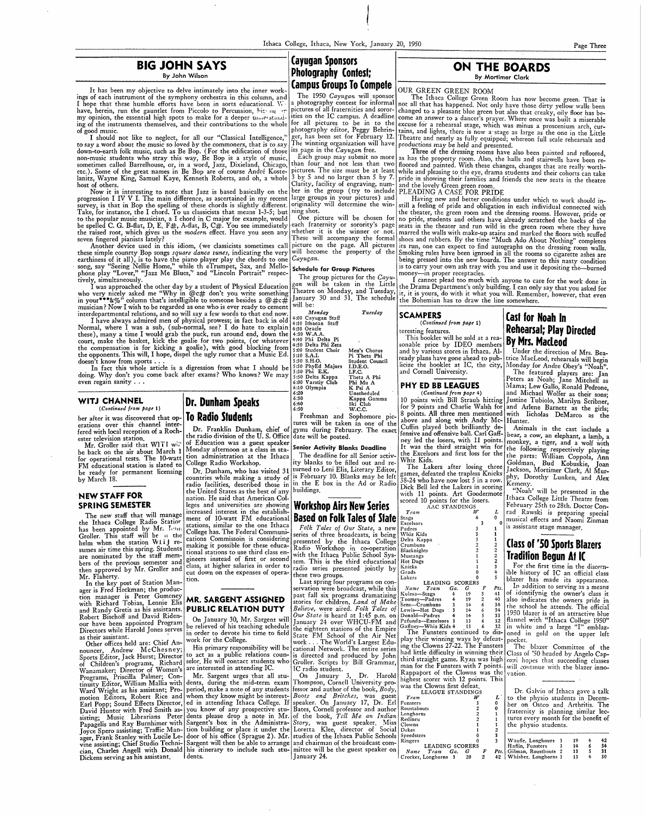$\begin{array}{c} \begin{array}{c} \begin{array}{c} \end{array} \\ \begin{array}{c} \end{array} \end{array} \end{array}$ 

It has been my objective to delve intimately into the inner work- **Campus Groups To Compete** OUR GREEN GREEN ROOM<br>Ings of each instrument of the symphony orchestra in this column, and The 1950 *Cayugan* will sponsor The It ings of each instrument of the symphony orchestra in this column, and The 1950 *Cayugan* will sponsor The Ithaca College Green Room has now become green. That is<br>I hope that these humble efforts have been in sorts educatio

to say a word about the music so loved by the commoners, that is to say The winning organization will have productions may be held and presented.<br>down-to-earth folk music, such as Be Bop. (For the edification of those its down-to-earth folk music, such as Be Bop. (For the edification of those non-music students who stray this way, Be Bop is a style of music, non-music students who stray this way, Be Bop is a style of music, Lach group may submit no more as has the property room. Also, the halls and stairwells have been resometimes called Barrelhouse, or, in a word, Jazz, Dixieland, Chicago, than four and not less than two floored and painted. With these changes, changes that are really worthsometimes called Barrelhouse, or, in a word, Jazz, Dixieland, Chicago, than four and not less than two floored and painted. With these changes changes that are really worther the.). Some of the great names in Be Bop are o Janitz, Wayne King, Samuel Kaye, Kenneth Roberts, and oh, a whole 3 by *5* and no larger than *5* by 7. pride in showing their families and friends the new seats in the theatre host of others. Clarity, facility of engraving, num- and the lovely Green green room.

Now it is interesting to note that Jazz is based basically on the ber in the group (try to include PLEADING A CASE FOR PRIDE Now it is interesting to note that Jazz is based basically on the lear in the group (try to include PLEADING A CASE FOR PRIDE<br>progression I IV V I. The main difference, as ascertained in my recent large groups in your pict survey, is that in Bop the spelling of these chords is slightly different. originality will determine the win- still a feeling of pride and obligation in each individual connected with Take, for instance, the I chord. To u to the popular music musician, a I chord in C major for example, would  $\vert$  One picture will be chosen for no pride, students and others have already scratched the backs of the be spelled C. G. B-flat, D, E. F#, A-flat, B, C#. You see immediately each fraternity or sorority's page seats in the theater and run wild in the green room where they have

earthiness of it all), is to have the piano player play the chords to one *Cayugan*. <br> **being pressed into the new boards. The answer to this nasty condition** song, say "Seeing Nellie Home," while th eTrumpet, Sax, and Mello- **Schedule for Group Pictures** is to carry your own ash tray with you and use it depositing the--burned phone play "Lover," "Jazz Me Blues," and "Lincoln Portrait" respec- $\begin{bmatrix} \text{triangle on} \\ \text{The example of } \\ \text{The example of } \\ \text{The example of } \\ \text{The example of } \\ \text{The example of } \\ \text{The example of } \\ \text{The example of } \\ \text{The example of } \\ \text{The example of } \\ \text{The example of } \\ \text{The example of } \\ \text{The example of } \\ \text{The example of } \\ \text{The example of } \\ \text{The example of } \\ \text{The example of } \\ \text{The example of } \\ \text{The$ tively, simultaneously.<br>The group pictures for the *Cayu*- money—in proper receptacles.<br>I was approached the other day by a student of Physical Education  $g_n^{\text{can}}$  will be taken in the Little the Drama Department's only b

who very nicely asked me "Why in (@c# don't you write something runder) and 31. The schedule the Bohemian has to draw the line somewhere.<br>in your<sup>\*\*\*</sup>&%" column that's intelligible to someone besides a @#c# January 30 and

## **BIG JOHN SAYS ON THE BOARDS ON THE BOARDS ON THE BOARDS ON Photography Contest**; By John Wilson **Photography Contest; Photography Contest; Example 2021 Cayugan Sponsors**

4:40 Phi Delta Pi<br>4:50 Delta Phi Zeta<br>5:00 Student Choir 5:30 S.H.O. Studer<br>5:30 PhyEd Majors I.D.E.<br>5:30 Phi E.K. I.F.C.  $6:10$  Olympia<br> $6:20$ 6:20 Unscheduled<br>6:30 Kappa Gami

interdepartmental relations, and so will say a few words to that end now.<br>
I have always a dimired men of physical prowess; in fact back in old<br>
Name always a function of physical provess; in fact be explained that the can I have always admired men of physical prowess; in fact back in old  $|^{4:00}_{+1:00}$  Hand I and I, where I was a sub, (sub-normal, see? I do hate to explain  $|^{4:10}_{4:30}$  Oracle e), many a time I would grab the puck, run a Normal, where I was a sub, (sub-normal, see? I do hate to explain  $\frac{1}{4:30}$  Oracle these), many a time I would grab the puck, run around end, down the  $|4:30 \text{ W.A.A.}$ court, make the basket, kick the goalie for two points, (or whatever 1:50 Delta Phi Zeta<br>the compensation is for kicking a goalie), with good blocking from 1:50 Delta Phi Zeta<br>the opponents. This will, I hope, dispel the u court, make the basket, kick the goalie for two points, (or whatever doesn't know from sports . . . *5* :30 S.H.O. . Student Council

In fact this whole article is a digression from what I should be doing. Why don't you come back after exams? Who knows? We may 5:30 Phi E.K. I.F.C. I.F.C. even regain sanity . . . even regam samty . . . 6:00 Varstiy Club Phi Mu A

Mr. Groller said that WITI will be back on the air about March 1 for operational tests. The IO-watt FM educational station is slated to be ready for permanent licensing by March 18.

6:30 Kappa Gamma 6 :40 Ski Club 6:50 w.c.c. Freshman and Sophomore pictures will be taken in one of the Dr. Franklin Dunham, chief of gyms during February. The exact is radio division of the U.S. Office date will be posted.

Monday afternoon at a class in sta- **Senior Activity Blanks Deadline**  tion administration at the Ithaca<br>College Radio Workshop. ity blanks to be filled out and re-Dr. Dunham, who has visited 31 turned to Leni Elis, Literary Editor,<br>puntries while making a study of is February 10. Blanks may be left countries while making a study of  $\begin{bmatrix} \text{is } & \text{february } & 10. & \text{Bians may be let} \\ \text{radio } & \text{facilities.} & \text{described } & \text{those } & \text{in} \end{bmatrix}$  in the E box in the Ad or Radio radio facilities, described those in <sup>in the E</sup><br>the United States as the best of any <sup>buildings</sup>. the United States as the best of any

### leges and universities are showing ment of 10-watt FM educational **Workshop Airs New Series Based on Folk Tales of State**

**Rehearsal; Play Directed By Mrs. Macleod**  Under the direction of Mrs. Bea-

trice MacLeod, rehearsals will begin Monday for Andre Obey's "Noah".

The featured players are: Jan Peters as Noah; Jane Mitchell as Mama; Lew Gallo, Ronald Pedrone and Michael Wolfer as their sons: Justine Tubiolo, Marilyn Scribne;, and Arlene Barnett as the girls; with Iicholas DeMarco as the

### **WITJ CHANNEL**

( *Continued from page* 1) her after it was discovered that op-

### **·NEW STAFF FOR SPRING SEMESTER**

of identifynig the owner's class it also indicates the owners pride in

The new staff that will manage the Ithaca College Radio Statior has been appointed by Mr. Tenn Groller. This staff will be *II* the helm when the station W1iJ resumes air time this spring. Students are nominated by the staff members of the previous semester and then approved by Mr. Grolier and Mr. Flaherty.

In the key post of Station Manager is Fred Heckman; the produc-<br>tion manager is Peter Gumeney tion manager is Peter Gumeney with Richard Tobias, Lennie Elis

erations over this channel interfered with local reception of a Rochester television station. **To Radio Students**  the radio division of the U. S. Office of Education was a guest speaker

**Dr. Dunham Speaks** 

nation. He said that American Col-

increased interest in the establish-

stations, similar to the one Ithaca College has. The Federal Communi-

making it possible for these educational stations to use third class engineers instead of first or second

tion.

**MR. SARGENT ASSIGNED** 

cations Commissoin is considering class, at higher salaries in order to cut down on the expenses of opera-*Folk Tales of Our State*, a new series of three broadcasts, is being presented by the Ithaca College Radio Workshop in co-operation with the Ithaca Public School System. This is the third educational radio series presented jointly by these two groups.

Last spring four programs on conservation were broadcast, while this past fall six programs dramatizing stories for children, *Land of Make* 

I hope that these humble efforts have been in sorts educational. We a photography contest for informal not all that has happened. Not only have those dirty yellow walls been have, herein, run the gauntlet from Piccolo to have, herein, run the gauntlet from Piccolo to Percussion, hit is end to all fraternities and soror- changed to a pleasant blue green but also that creaky, oily floor has be-<br>In the sort of the control of the south of the my opinion, the essential high spots to make for a deeper understand. It the on the IC campus. A deadline come an answer to a dancer's prayer. Where once was built a miserable ing of the instruments themselves, and their c ing of the instruments themselves, and their contributions to the whole for all pictures to be in to the excuse for a rehearsal stage, which was minus a proscenium arch, cur-<br>of good music. ood music.<br>I should not like to neglect, for all our "Classical Intelligence," ger, has been set for February 12. Theatre and nearly as fully equipped: whereon full scale rehearshe and ger, has been set for February 12. Theatre and nearly as fully equipped; whereon full scale rehearsals and<br>The winning organization will have productions may be held and presented.

ng shot.<br>One picture will be chosen for no pride, students and others have already scratched the backs of the be spelled C. G. B-flat, D, E. F#, A-flat, B, C#. You see immediately each traternity or sorority's page seats in the theater and run wild in the green room where they have<br>the raised root, which gives us the *modern* effe n fingered pianists lately?<br>Another device used in this idiom, (we classicists sometimes call picture on the page. All pictures its run, one can expect to find autographs on the dressing room walls Another device used in this idiom, (we classicists sometimes call picture on the page. All pictures its run, one can expect to find autographs on the dressing room walls.<br>these simple country Bop songs *square dance tunes* will become the property of the Smoking rules have been ignroed in all the rooms so cigarette ashes are<br>Cayugan.

h d weiy, simultancedary.<br>I was approached the other day by a student of Physical Education *gan* will be taken in the Little the Drama Department's only building. I can only say that you asked for who very nicely asked me Theatre on Monday, and Tuesday, it, it is yours, do with it what you will. Remember, however, that even<br>January 30 and 31. The schedule the Bohemian has to draw the line somewhere.

| with Richard Tobias, Lennie Elis                               |                                                                                                                         | $\frac{1}{2}$ stortes for children, <i>Land of Make</i> $\frac{1}{2}$ Sens—Crumbuns          | 14                                                        |                                                                           |
|----------------------------------------------------------------|-------------------------------------------------------------------------------------------------------------------------|----------------------------------------------------------------------------------------------|-----------------------------------------------------------|---------------------------------------------------------------------------|
| and Randy Gretis as his assistants.   PUBLIC RELATION DUTY     |                                                                                                                         | Believe, were aired. Folk Tales of Lewis-Hot Dogs                                            | 34<br>14                                                  | the school he attends. The official                                       |
| Robert Bischoff and David Riden-                               | On January 30, Mr. Sargent will                                                                                         | <i>Our State</i> is heard at 1:45 p.m. on                                                    | Donald-Padres<br>14                                       | 1950 blazer is of an attractive blue                                      |
| our have been appointed Program                                |                                                                                                                         | January 24 over WHCU-FM and                                                                  | 32<br>13 <sup>7</sup><br>Pafunda-Excelsors 3<br><b>13</b> | flannel with "Ithaca College 1950"                                        |
| Directors while Harold Jones serves                            |                                                                                                                         | be relieved of his teaching schedule the eighteen stations of the Empire Gaffney-Whiz Kids 4 |                                                           | in white and a large "I" emblaz-                                          |
| as their assistant.                                            |                                                                                                                         | in order to devote his time to field State FM School of the Air Net                          | play their winning ways by defeat- pocket.                | The Funsters continued to dis- oned in gold on the upper left             |
| Other offices held are: Chief An-                              | work for the College.                                                                                                   | work The World's Largest Edu-                                                                |                                                           |                                                                           |
| nouncer, Andrew McChesney;                                     |                                                                                                                         | His primary responsibility will be cational Network. The entire series                       | ing the Clowns 27-22. The Funsters                        | The blazer Committee of the                                               |
|                                                                | Sports Editor, Jack Hurst; Director to act as a public relations coun- is directed and produced by John                 |                                                                                              |                                                           | had little difficulty in winning their Class of '50 headed by Angelo Cap- |
|                                                                | of Children's programs, Richard selor. He will contact students who Groller. Scripts by Bill Grammar,                   |                                                                                              |                                                           | third straight game. Ryan was high ozzi hopes that succeeding classes     |
| Wanamaker; Director of Women's are interested in attending IC. |                                                                                                                         | IC radio student.                                                                            |                                                           | man for the Funsters with 7 points. will continue with the blazer inno-   |
|                                                                | Programs, Priscilla Palmer; Con-   Mr. Sargent urges that all stu-   On January 3, Dr. Harold                           |                                                                                              | Rappaport of the Clowns was the vation.                   |                                                                           |
|                                                                | tinuity Editor, William Mallia with dents, during the mid-term exam Thompson, Cornell University pro-                   |                                                                                              | highest scorer with 12 points. This                       |                                                                           |
|                                                                | Ward Wright as his assistant; Pro-   period, make a note of any students   fessor and author of the book, Body,         |                                                                                              | was the Clowns first defeat.                              |                                                                           |
|                                                                | motion Editors, Robert Rice and whom they know might be interest- Boots and Britches, was guest                         |                                                                                              | LEAGUE STANDINGS<br>$T$ cam                               | Dr. Galvin of Ithaca gave a talk                                          |
|                                                                | Earl Popp; Sound Effects Director, ed in attending Ithaca College. If speaker. On January 17, Dr. Erl                   |                                                                                              | Funsters                                                  | to the physio students in Decem-                                          |
|                                                                | David Hunter with Fred Smith as- you know of any prospective stu-   Bates, Cornell professor and author                 |                                                                                              | Roustabouts                                               | ber on Osteo and Arthritis. The                                           |
|                                                                | sisting; Music Librarians Peter dents please drop a note in Mr. of the book, Tell Me an Indian                          |                                                                                              | Longhorns                                                 | fraternity is planning similar lec-                                       |
|                                                                | Papagelis and Ray Burnhimer with Sargent's box in the Administra- Story, was guest speaker. Miss                        |                                                                                              | Redineu                                                   | tures every month for the benefit of                                      |
|                                                                |                                                                                                                         |                                                                                              | Clowns                                                    | the physio students.                                                      |
|                                                                | Joyce Spero assisting; Traffic Man- tion building or place it under the Loretta Klee, director of Social Dekes          |                                                                                              |                                                           |                                                                           |
|                                                                | ager, Frank Stanley with Lucile Le- door of his office (Sprague 2). Mr. studies of the Ithaca Public Schools Speedsters |                                                                                              |                                                           | Waufle, Longhours 3<br>19                                                 |
|                                                                | vine assisting; Chief Studio Techni- Sargent will then be able to arrange and chairman of the broadcast com-   Ringers  |                                                                                              | LEADING SCORERS                                           | 34<br>Haflin, Funsters 3<br>14                                            |
|                                                                | cian, Charles Angell with Donald his itinerary to include such stu- mittee will be the guest speaker on                 |                                                                                              | $T$ cam<br>Name<br>G<br>Ga.                               | 31<br>13<br><i>Pts.</i>   Gilman, Roustbouts 2                            |
| Dickens serving as his assistant.                              | I dents.                                                                                                                | Hanuary 24.                                                                                  | Crocker, Longhorns 3                                      | 13<br>30<br>42   Whisher, Longhorns 3                                     |

### **SCAMPERS**

*(Continued from page* 1) teresting features.

This booklet will be sold at a reasonable price by IDEO members and by various stores in Ithaca. Already plans have gone ahead to publicize the booklet at IC, the city, and Cornell University.

## **PHY ED BB LEAGUES**

The Lakers after losing three games, defeated the trapless Knicks 38-24 who have now lost *5* in a row. Dick Bell led the Lakers in scoring with 11 points. Art Goodermote scored 10 points for the losers.

*(Continued from page* 4) 10 points with Bill Straub hitting for 9 points and Charlie Walsh for 8 points. **All** three men mentioned above and along with Andy Mc-Cuffin played both brilliantly defensive and offensive ball. Carl Gaffney led the losers, with 11 points. It was the third straight win for the Excelsors and first loss for the Whiz Kids. Hunter.

 $\overline{A}$  AC STANDINGS  $W$ *T,·am*  Stags Excelsors Padres Whiz Kids Delta Kappa Crumbuns Black nights Mustangs Hot Dogs Knicks Grads Lake rs 4 3 3 3 2 2 1 1 1 0 0 LEADING SCORERS 3 *Name Team Ga. G F Pts.*<br>
Sulesa—Stags 4 19 3 41 Kulesa-Stags 4 19 3 41<br>
Toomey-Padres 4 19 2 40<br>
Sens-Crumbuns 3 14 6 34

Toomey-Padres 4 19

**Cast for Noah In** 

Animals in the cast include a bear, a cow, an elephant, a lamb, a monkey, a tiger, and a wolf with the following respectively playing the parts: William Coppola, Ann Goldman, B~d Kobuskie, Joan Jackson, Mortimer Clark, Al Murphy, Dorothy Lunken, and **Alex**  Kemeny.

"Noah' will be presented in the Ithaca College Little Theatre from February 25th to 28th. Doctor Conrad Rawski is preparing special musical effects and Naomi Zinman is assistant stage manager.

## **Class of '50 Sports Blazers Tradition Begun At IC**

For the first time in the discernible history of IC an official class blazer has made its appearance. In addition to serving as a means